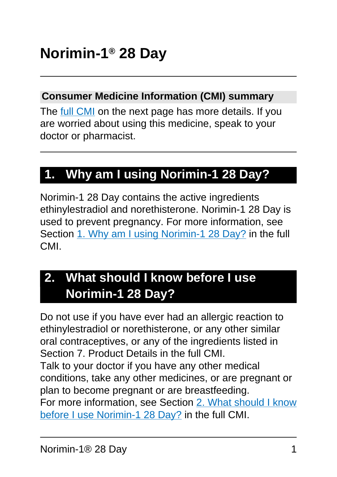#### **Consumer Medicine Information (CMI) summary**

The [full CMI](#page-4-0) on the next page has more details. If you are worried about using this medicine, speak to your doctor or pharmacist.

# **1. Why am I using Norimin-1 28 Day?**

Norimin-1 28 Day contains the active ingredients ethinylestradiol and norethisterone. Norimin-1 28 Day is used to prevent pregnancy. For more information, see Section [1. Why am I using Norimin-1 28 Day?](#page-4-1) in the full CMI.

# **2. What should I know before I use Norimin-1 28 Day?**

Do not use if you have ever had an allergic reaction to ethinylestradiol or norethisterone, or any other similar oral contraceptives, or any of the ingredients listed in Section 7. Product Details in the full CMI. Talk to your doctor if you have any other medical conditions, take any other medicines, or are pregnant or plan to become pregnant or are breastfeeding. For more information, see Section [2. What should I know](#page-5-0) [before I use Norimin-1 28 Day?](#page-5-0) in the full CMI.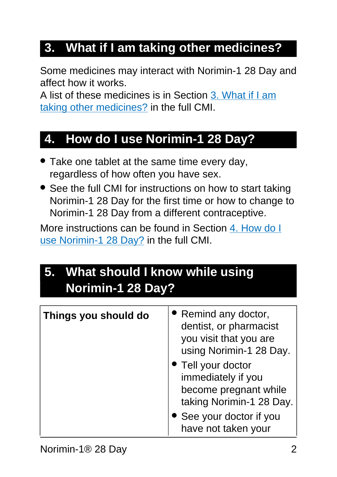# **3. What if I am taking other medicines?**

Some medicines may interact with Norimin-1 28 Day and affect how it works.

A list of these medicines is in Section [3. What if I am](#page-11-0) [taking other medicines?](#page-11-0) in the full CMI.

### **4. How do I use Norimin-1 28 Day?**

- Take one tablet at the same time every day, regardless of how often you have sex.
- See the full CMI for instructions on how to start taking Norimin-1 28 Day for the first time or how to change to Norimin-1 28 Day from a different contraceptive.

More instructions can be found in Section [4. How do I](#page-13-0) [use Norimin-1 28 Day?](#page-13-0) in the full CMI.

# **5. What should I know while using Norimin-1 28 Day?**

| Things you should do | • Remind any doctor,<br>dentist, or pharmacist<br>you visit that you are<br>using Norimin-1 28 Day.<br>• Tell your doctor<br>immediately if you<br>become pregnant while<br>taking Norimin-1 28 Day.<br>• See your doctor if you<br>have not taken your |
|----------------------|---------------------------------------------------------------------------------------------------------------------------------------------------------------------------------------------------------------------------------------------------------|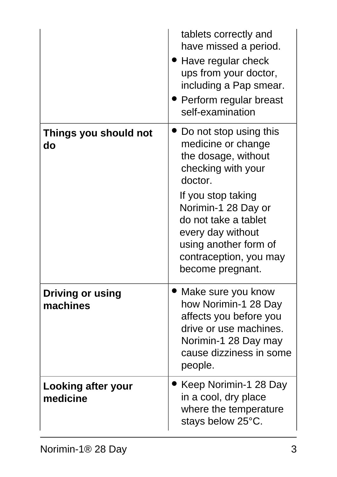|                                     | tablets correctly and<br>have missed a period.<br>• Have regular check<br>ups from your doctor,<br>including a Pap smear.<br>• Perform regular breast<br>self-examination                                                                                             |
|-------------------------------------|-----------------------------------------------------------------------------------------------------------------------------------------------------------------------------------------------------------------------------------------------------------------------|
| Things you should not<br>do         | Do not stop using this<br>medicine or change<br>the dosage, without<br>checking with your<br>doctor.<br>If you stop taking<br>Norimin-1 28 Day or<br>do not take a tablet<br>every day without<br>using another form of<br>contraception, you may<br>become pregnant. |
| <b>Driving or using</b><br>machines | Make sure you know<br>how Norimin-1 28 Day<br>affects you before you<br>drive or use machines.<br>Norimin-1 28 Day may<br>cause dizziness in some<br>people.                                                                                                          |
| Looking after your<br>medicine      | Keep Norimin-1 28 Day<br>in a cool, dry place<br>where the temperature<br>stays below 25°C.                                                                                                                                                                           |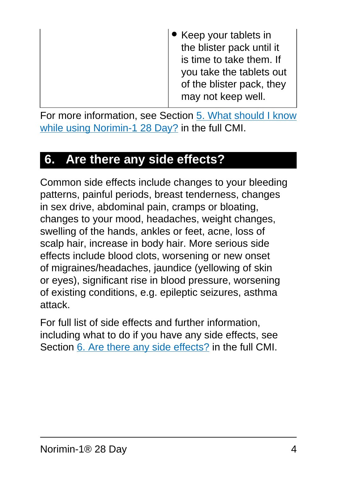For more information, see Section [5. What should I know](#page-19-0) [while using Norimin-1 28 Day?](#page-19-0) in the full CMI.

# **6. Are there any side effects?**

Common side effects include changes to your bleeding patterns, painful periods, breast tenderness, changes in sex drive, abdominal pain, cramps or bloating, changes to your mood, headaches, weight changes, swelling of the hands, ankles or feet, acne, loss of scalp hair, increase in body hair. More serious side effects include blood clots, worsening or new onset of migraines/headaches, jaundice (yellowing of skin or eyes), significant rise in blood pressure, worsening of existing conditions, e.g. epileptic seizures, asthma attack.

For full list of side effects and further information, including what to do if you have any side effects, see Section [6. Are there any side effects?](#page-25-0) in the full CMI.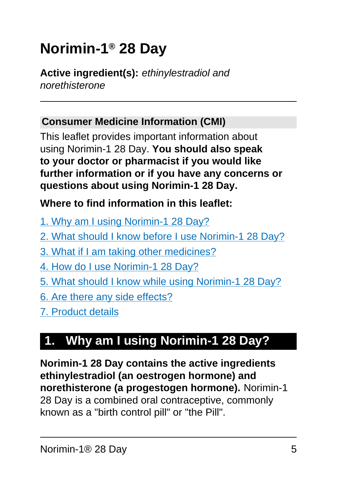# <span id="page-4-0"></span>**Norimin-1® 28 Day**

**Active ingredient(s):** ethinylestradiol and norethisterone

#### **Consumer Medicine Information (CMI)**

This leaflet provides important information about using Norimin-1 28 Day. **You should also speak to your doctor or pharmacist if you would like further information or if you have any concerns or questions about using Norimin-1 28 Day.**

#### **Where to find information in this leaflet:**

- [1. Why am I using Norimin-1 28 Day?](#page-4-0)
- [2. What should I know before I use Norimin-1 28 Day?](#page-5-0)
- [3. What if I am taking other medicines?](#page-11-0)
- [4. How do I use Norimin-1 28 Day?](#page-13-0)
- [5. What should I know while using Norimin-1 28 Day?](#page-19-0)
- [6. Are there any side effects?](#page-25-0)
- [7. Product details](#page-32-0)

# <span id="page-4-1"></span>**1. Why am I using Norimin-1 28 Day?**

**Norimin-1 28 Day contains the active ingredients ethinylestradiol (an oestrogen hormone) and norethisterone (a progestogen hormone).** Norimin-1 28 Day is a combined oral contraceptive, commonly known as a "birth control pill" or "the Pill".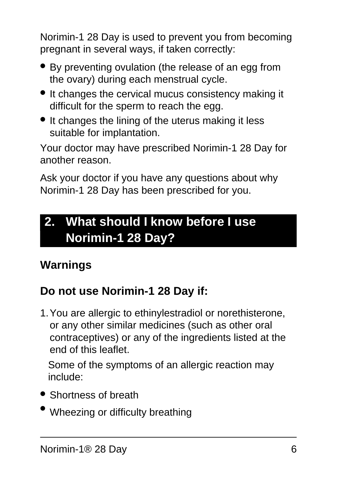Norimin-1 28 Day is used to prevent you from becoming pregnant in several ways, if taken correctly:

- By preventing ovulation (the release of an egg from the ovary) during each menstrual cycle.
- It changes the cervical mucus consistency making it difficult for the sperm to reach the egg.
- It changes the lining of the uterus making it less suitable for implantation.

Your doctor may have prescribed Norimin-1 28 Day for another reason.

Ask your doctor if you have any questions about why Norimin-1 28 Day has been prescribed for you.

# <span id="page-5-0"></span>**2. What should I know before I use Norimin-1 28 Day?**

# **Warnings**

# **Do not use Norimin-1 28 Day if:**

1.You are allergic to ethinylestradiol or norethisterone, or any other similar medicines (such as other oral contraceptives) or any of the ingredients listed at the end of this leaflet.

Some of the symptoms of an allergic reaction may include:

- Shortness of breath
- Wheezing or difficulty breathing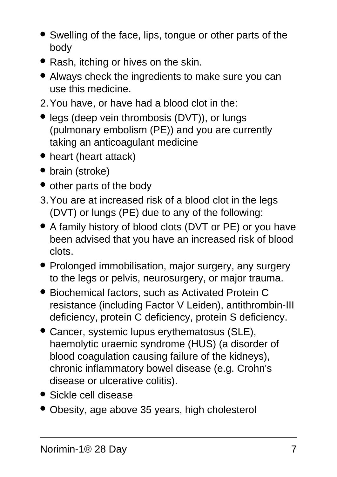- Swelling of the face, lips, tongue or other parts of the body
- Rash, itching or hives on the skin.
- Always check the ingredients to make sure you can use this medicine.
- 2.You have, or have had a blood clot in the:
- legs (deep vein thrombosis (DVT)), or lungs (pulmonary embolism (PE)) and you are currently taking an anticoagulant medicine
- heart (heart attack)
- brain (stroke)
- other parts of the body
- 3.You are at increased risk of a blood clot in the legs (DVT) or lungs (PE) due to any of the following:
- A family history of blood clots (DVT or PE) or you have been advised that you have an increased risk of blood clots.
- Prolonged immobilisation, major surgery, any surgery to the legs or pelvis, neurosurgery, or major trauma.
- Biochemical factors, such as Activated Protein C resistance (including Factor V Leiden), antithrombin-III deficiency, protein C deficiency, protein S deficiency.
- Cancer, systemic lupus erythematosus (SLE), haemolytic uraemic syndrome (HUS) (a disorder of blood coagulation causing failure of the kidneys), chronic inflammatory bowel disease (e.g. Crohn's disease or ulcerative colitis).
- Sickle cell disease
- Obesity, age above 35 years, high cholesterol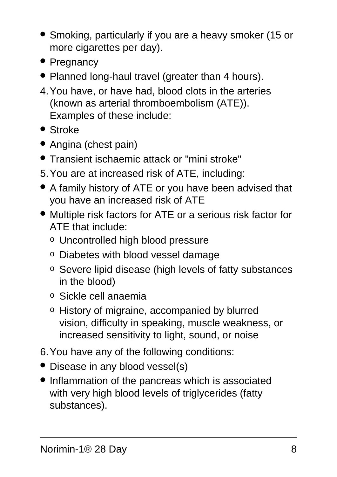- Smoking, particularly if you are a heavy smoker (15 or more cigarettes per day).
- Pregnancy
- Planned long-haul travel (greater than 4 hours).
- 4.You have, or have had, blood clots in the arteries (known as arterial thromboembolism (ATE)). Examples of these include:
- Stroke
- Angina (chest pain)
- Transient ischaemic attack or "mini stroke"
- 5.You are at increased risk of ATE, including:
- A family history of ATE or you have been advised that you have an increased risk of ATE
- Multiple risk factors for ATE or a serious risk factor for ATE that include:
	- o Uncontrolled high blood pressure
	- o Diabetes with blood vessel damage
	- o Severe lipid disease (high levels of fatty substances in the blood)
	- o Sickle cell anaemia
	- o History of migraine, accompanied by blurred vision, difficulty in speaking, muscle weakness, or increased sensitivity to light, sound, or noise
- 6.You have any of the following conditions:
- Disease in any blood vessel(s)
- Inflammation of the pancreas which is associated with very high blood levels of triglycerides (fatty substances).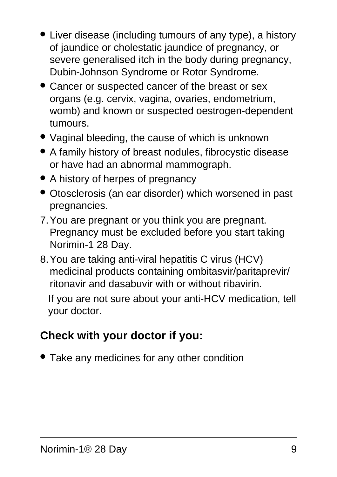- Liver disease (including tumours of any type), a history of jaundice or cholestatic jaundice of pregnancy, or severe generalised itch in the body during pregnancy, Dubin-Johnson Syndrome or Rotor Syndrome.
- Cancer or suspected cancer of the breast or sex organs (e.g. cervix, vagina, ovaries, endometrium, womb) and known or suspected oestrogen-dependent tumours.
- Vaginal bleeding, the cause of which is unknown
- A family history of breast nodules, fibrocystic disease or have had an abnormal mammograph.
- A history of herpes of pregnancy
- Otosclerosis (an ear disorder) which worsened in past pregnancies.
- 7.You are pregnant or you think you are pregnant. Pregnancy must be excluded before you start taking Norimin-1 28 Day.
- 8.You are taking anti-viral hepatitis C virus (HCV) medicinal products containing ombitasvir/paritaprevir/ ritonavir and dasabuvir with or without ribavirin.

If you are not sure about your anti-HCV medication, tell your doctor.

# **Check with your doctor if you:**

• Take any medicines for any other condition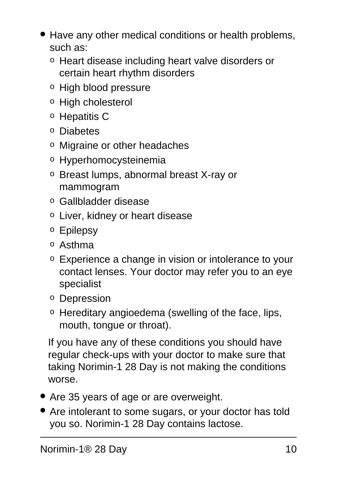- Have any other medical conditions or health problems, such as:
	- o Heart disease including heart valve disorders or certain heart rhythm disorders
	- o High blood pressure
	- o High cholesterol
	- o Hepatitis C
	- o Diabetes
	- o Migraine or other headaches
	- o Hyperhomocysteinemia
	- o Breast lumps, abnormal breast X-ray or mammogram
	- o Gallbladder disease
	- o Liver, kidney or heart disease
	- o Epilepsy
	- o Asthma
	- o Experience a change in vision or intolerance to your contact lenses. Your doctor may refer you to an eye specialist
	- o Depression
	- o Hereditary angioedema (swelling of the face, lips, mouth, tongue or throat).

If you have any of these conditions you should have regular check-ups with your doctor to make sure that taking Norimin-1 28 Day is not making the conditions worse.

- Are 35 years of age or are overweight.
- Are intolerant to some sugars, or your doctor has told you so. Norimin-1 28 Day contains lactose.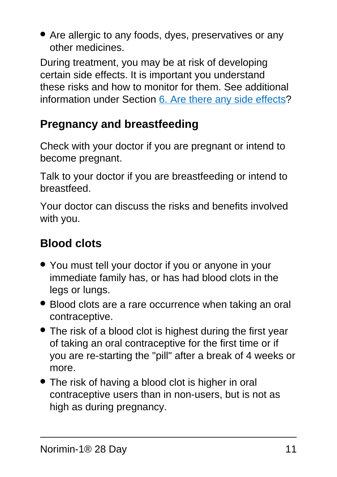• Are allergic to any foods, dyes, preservatives or any other medicines.

During treatment, you may be at risk of developing certain side effects. It is important you understand these risks and how to monitor for them. See additional information under Section [6. Are there any side effects](#page-25-0)?

### **Pregnancy and breastfeeding**

Check with your doctor if you are pregnant or intend to become pregnant.

Talk to your doctor if you are breastfeeding or intend to breastfeed.

Your doctor can discuss the risks and benefits involved with you.

# **Blood clots**

- You must tell your doctor if you or anyone in your immediate family has, or has had blood clots in the legs or lungs.
- Blood clots are a rare occurrence when taking an oral contraceptive.
- The risk of a blood clot is highest during the first year of taking an oral contraceptive for the first time or if you are re-starting the "pill" after a break of 4 weeks or more.
- The risk of having a blood clot is higher in oral contraceptive users than in non-users, but is not as high as during pregnancy.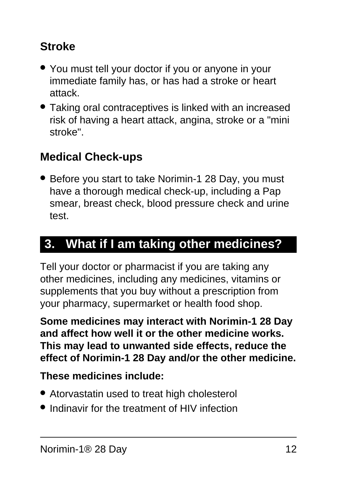# **Stroke**

- You must tell your doctor if you or anyone in your immediate family has, or has had a stroke or heart attack.
- Taking oral contraceptives is linked with an increased risk of having a heart attack, angina, stroke or a "mini stroke".

### **Medical Check-ups**

• Before you start to take Norimin-1 28 Day, you must have a thorough medical check-up, including a Pap smear, breast check, blood pressure check and urine test.

# <span id="page-11-0"></span>**3. What if I am taking other medicines?**

Tell your doctor or pharmacist if you are taking any other medicines, including any medicines, vitamins or supplements that you buy without a prescription from your pharmacy, supermarket or health food shop.

**Some medicines may interact with Norimin-1 28 Day and affect how well it or the other medicine works. This may lead to unwanted side effects, reduce the effect of Norimin-1 28 Day and/or the other medicine.**

#### **These medicines include:**

- Atorvastatin used to treat high cholesterol
- Indinavir for the treatment of HIV infection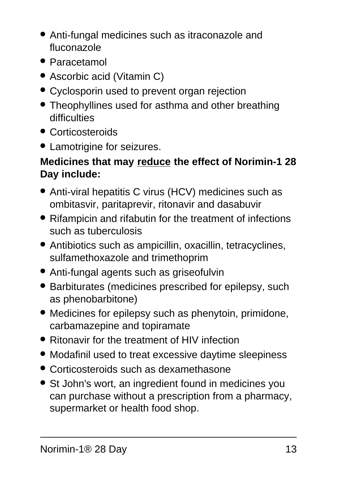- Anti-fungal medicines such as itraconazole and fluconazole
- Paracetamol
- Ascorbic acid (Vitamin C)
- Cyclosporin used to prevent organ rejection
- Theophyllines used for asthma and other breathing difficulties
- Corticosteroids
- Lamotrigine for seizures.

#### **Medicines that may reduce the effect of Norimin-1 28 Day include:**

- Anti-viral hepatitis C virus (HCV) medicines such as ombitasvir, paritaprevir, ritonavir and dasabuvir
- Rifampicin and rifabutin for the treatment of infections such as tuberculosis
- Antibiotics such as ampicillin, oxacillin, tetracyclines, sulfamethoxazole and trimethoprim
- Anti-fungal agents such as griseofulvin
- Barbiturates (medicines prescribed for epilepsy, such as phenobarbitone)
- Medicines for epilepsy such as phenytoin, primidone, carbamazepine and topiramate
- Ritonavir for the treatment of HIV infection
- Modafinil used to treat excessive daytime sleepiness
- Corticosteroids such as dexamethasone
- St John's wort, an ingredient found in medicines you can purchase without a prescription from a pharmacy, supermarket or health food shop.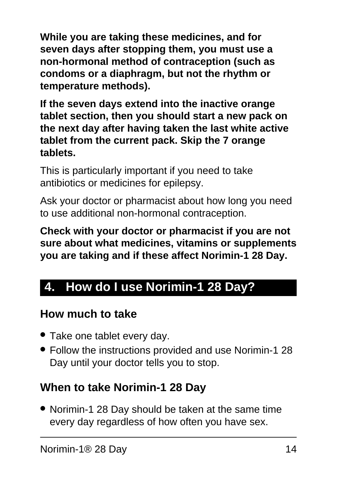**While you are taking these medicines, and for seven days after stopping them, you must use a non-hormonal method of contraception (such as condoms or a diaphragm, but not the rhythm or temperature methods).**

**If the seven days extend into the inactive orange tablet section, then you should start a new pack on the next day after having taken the last white active tablet from the current pack. Skip the 7 orange tablets.**

This is particularly important if you need to take antibiotics or medicines for epilepsy.

Ask your doctor or pharmacist about how long you need to use additional non-hormonal contraception.

**Check with your doctor or pharmacist if you are not sure about what medicines, vitamins or supplements you are taking and if these affect Norimin-1 28 Day.**

# <span id="page-13-0"></span>**4. How do I use Norimin-1 28 Day?**

### **How much to take**

- Take one tablet every day.
- Follow the instructions provided and use Norimin-1 28 Day until your doctor tells you to stop.

### **When to take Norimin-1 28 Day**

• Norimin-1 28 Day should be taken at the same time every day regardless of how often you have sex.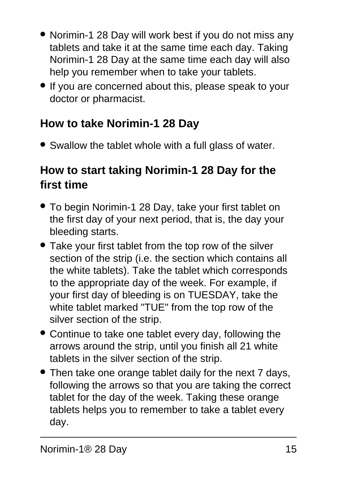- Norimin-1 28 Day will work best if you do not miss any tablets and take it at the same time each day. Taking Norimin-1 28 Day at the same time each day will also help you remember when to take your tablets.
- If you are concerned about this, please speak to your doctor or pharmacist.

### **How to take Norimin-1 28 Day**

• Swallow the tablet whole with a full glass of water.

### **How to start taking Norimin-1 28 Day for the first time**

- To begin Norimin-1 28 Day, take your first tablet on the first day of your next period, that is, the day your bleeding starts.
- Take your first tablet from the top row of the silver section of the strip (i.e. the section which contains all the white tablets). Take the tablet which corresponds to the appropriate day of the week. For example, if your first day of bleeding is on TUESDAY, take the white tablet marked "TUE" from the top row of the silver section of the strip.
- Continue to take one tablet every day, following the arrows around the strip, until you finish all 21 white tablets in the silver section of the strip.
- Then take one orange tablet daily for the next 7 days, following the arrows so that you are taking the correct tablet for the day of the week. Taking these orange tablets helps you to remember to take a tablet every day.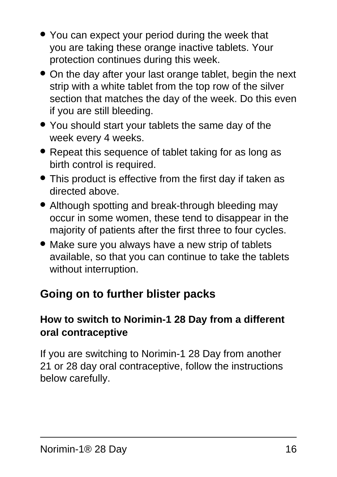- You can expect your period during the week that you are taking these orange inactive tablets. Your protection continues during this week.
- On the day after your last orange tablet, begin the next strip with a white tablet from the top row of the silver section that matches the day of the week. Do this even if you are still bleeding.
- You should start your tablets the same day of the week every 4 weeks.
- Repeat this sequence of tablet taking for as long as birth control is required.
- This product is effective from the first day if taken as directed above.
- Although spotting and break-through bleeding may occur in some women, these tend to disappear in the majority of patients after the first three to four cycles.
- Make sure you always have a new strip of tablets available, so that you can continue to take the tablets without interruption.

### **Going on to further blister packs**

#### **How to switch to Norimin-1 28 Day from a different oral contraceptive**

If you are switching to Norimin-1 28 Day from another 21 or 28 day oral contraceptive, follow the instructions below carefully.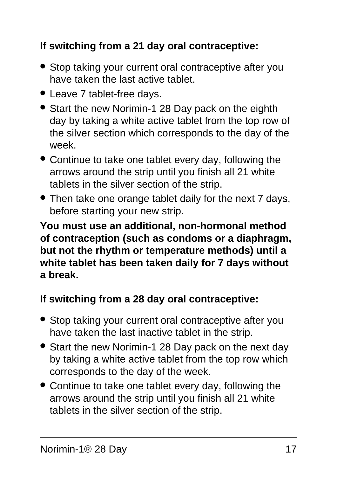#### **If switching from a 21 day oral contraceptive:**

- Stop taking your current oral contraceptive after you have taken the last active tablet.
- Leave 7 tablet-free days.
- Start the new Norimin-1 28 Day pack on the eighth day by taking a white active tablet from the top row of the silver section which corresponds to the day of the week.
- Continue to take one tablet every day, following the arrows around the strip until you finish all 21 white tablets in the silver section of the strip.
- Then take one orange tablet daily for the next 7 days, before starting your new strip.

**You must use an additional, non-hormonal method of contraception (such as condoms or a diaphragm, but not the rhythm or temperature methods) until a white tablet has been taken daily for 7 days without a break.**

#### **If switching from a 28 day oral contraceptive:**

- Stop taking your current oral contraceptive after you have taken the last inactive tablet in the strip.
- Start the new Norimin-1 28 Day pack on the next day by taking a white active tablet from the top row which corresponds to the day of the week.
- Continue to take one tablet every day, following the arrows around the strip until you finish all 21 white tablets in the silver section of the strip.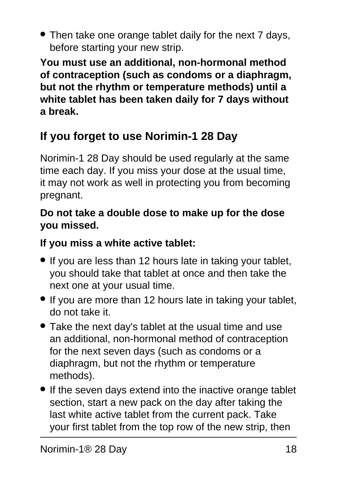• Then take one orange tablet daily for the next 7 days, before starting your new strip.

**You must use an additional, non-hormonal method of contraception (such as condoms or a diaphragm, but not the rhythm or temperature methods) until a white tablet has been taken daily for 7 days without a break.**

# **If you forget to use Norimin-1 28 Day**

Norimin-1 28 Day should be used regularly at the same time each day. If you miss your dose at the usual time, it may not work as well in protecting you from becoming pregnant.

#### **Do not take a double dose to make up for the dose you missed.**

#### **If you miss a white active tablet:**

- If you are less than 12 hours late in taking your tablet, you should take that tablet at once and then take the next one at your usual time.
- If you are more than 12 hours late in taking your tablet, do not take it.
- Take the next day's tablet at the usual time and use an additional, non-hormonal method of contraception for the next seven days (such as condoms or a diaphragm, but not the rhythm or temperature methods).
- If the seven days extend into the inactive orange tablet section, start a new pack on the day after taking the last white active tablet from the current pack. Take your first tablet from the top row of the new strip, then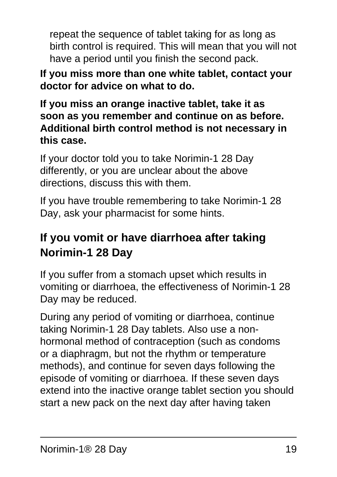repeat the sequence of tablet taking for as long as birth control is required. This will mean that you will not have a period until you finish the second pack.

**If you miss more than one white tablet, contact your doctor for advice on what to do.**

**If you miss an orange inactive tablet, take it as soon as you remember and continue on as before. Additional birth control method is not necessary in this case.**

If your doctor told you to take Norimin-1 28 Day differently, or you are unclear about the above directions, discuss this with them.

If you have trouble remembering to take Norimin-1 28 Day, ask your pharmacist for some hints.

### **If you vomit or have diarrhoea after taking Norimin-1 28 Day**

If you suffer from a stomach upset which results in vomiting or diarrhoea, the effectiveness of Norimin-1 28 Day may be reduced.

During any period of vomiting or diarrhoea, continue taking Norimin-1 28 Day tablets. Also use a nonhormonal method of contraception (such as condoms or a diaphragm, but not the rhythm or temperature methods), and continue for seven days following the episode of vomiting or diarrhoea. If these seven days extend into the inactive orange tablet section you should start a new pack on the next day after having taken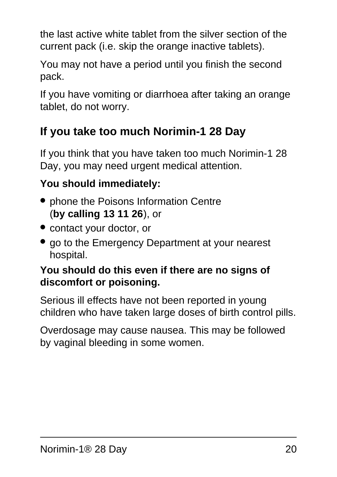the last active white tablet from the silver section of the current pack (i.e. skip the orange inactive tablets).

You may not have a period until you finish the second pack.

If you have vomiting or diarrhoea after taking an orange tablet, do not worry.

# **If you take too much Norimin-1 28 Day**

If you think that you have taken too much Norimin-1 28 Day, you may need urgent medical attention.

### **You should immediately:**

- phone the Poisons Information Centre (**by calling 13 11 26**), or
- contact your doctor, or
- go to the Emergency Department at your nearest hospital.

#### **You should do this even if there are no signs of discomfort or poisoning.**

Serious ill effects have not been reported in young children who have taken large doses of birth control pills.

<span id="page-19-0"></span>Overdosage may cause nausea. This may be followed by vaginal bleeding in some women.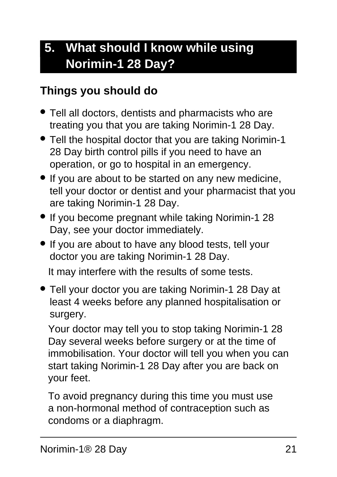# **5. What should I know while using Norimin-1 28 Day?**

### **Things you should do**

- Tell all doctors, dentists and pharmacists who are treating you that you are taking Norimin-1 28 Day.
- Tell the hospital doctor that you are taking Norimin-1 28 Day birth control pills if you need to have an operation, or go to hospital in an emergency.
- If you are about to be started on any new medicine, tell your doctor or dentist and your pharmacist that you are taking Norimin-1 28 Day.
- If you become pregnant while taking Norimin-1 28 Day, see your doctor immediately.
- If you are about to have any blood tests, tell your doctor you are taking Norimin-1 28 Day.

It may interfere with the results of some tests.

• Tell your doctor you are taking Norimin-1 28 Day at least 4 weeks before any planned hospitalisation or surgery.

Your doctor may tell you to stop taking Norimin-1 28 Day several weeks before surgery or at the time of immobilisation. Your doctor will tell you when you can start taking Norimin-1 28 Day after you are back on your feet.

To avoid pregnancy during this time you must use a non-hormonal method of contraception such as condoms or a diaphragm.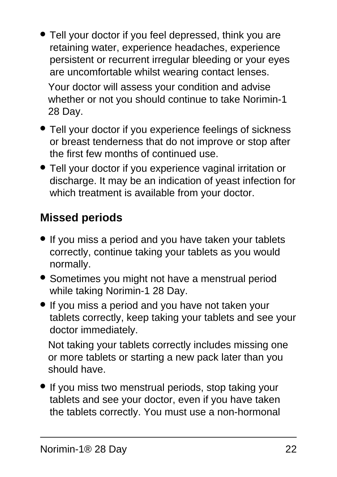Tell your doctor if you feel depressed, think you are retaining water, experience headaches, experience persistent or recurrent irregular bleeding or your eyes are uncomfortable whilst wearing contact lenses. Your doctor will assess your condition and advise

whether or not you should continue to take Norimin-1 28 Day.

- Tell your doctor if you experience feelings of sickness or breast tenderness that do not improve or stop after the first few months of continued use.
- Tell your doctor if you experience vaginal irritation or discharge. It may be an indication of yeast infection for which treatment is available from your doctor.

# **Missed periods**

- If you miss a period and you have taken your tablets correctly, continue taking your tablets as you would normally.
- Sometimes you might not have a menstrual period while taking Norimin-1 28 Day.
- If you miss a period and you have not taken your tablets correctly, keep taking your tablets and see your doctor immediately.

Not taking your tablets correctly includes missing one or more tablets or starting a new pack later than you should have.

• If you miss two menstrual periods, stop taking your tablets and see your doctor, even if you have taken the tablets correctly. You must use a non-hormonal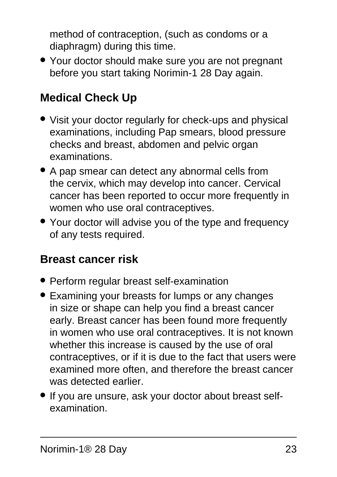method of contraception, (such as condoms or a diaphragm) during this time.

• Your doctor should make sure you are not pregnant before you start taking Norimin-1 28 Day again.

# **Medical Check Up**

- Visit your doctor regularly for check-ups and physical examinations, including Pap smears, blood pressure checks and breast, abdomen and pelvic organ examinations.
- A pap smear can detect any abnormal cells from the cervix, which may develop into cancer. Cervical cancer has been reported to occur more frequently in women who use oral contraceptives.
- Your doctor will advise you of the type and frequency of any tests required.

#### **Breast cancer risk**

- Perform regular breast self-examination
- Examining your breasts for lumps or any changes in size or shape can help you find a breast cancer early. Breast cancer has been found more frequently in women who use oral contraceptives. It is not known whether this increase is caused by the use of oral contraceptives, or if it is due to the fact that users were examined more often, and therefore the breast cancer was detected earlier.
- If you are unsure, ask your doctor about breast selfexamination.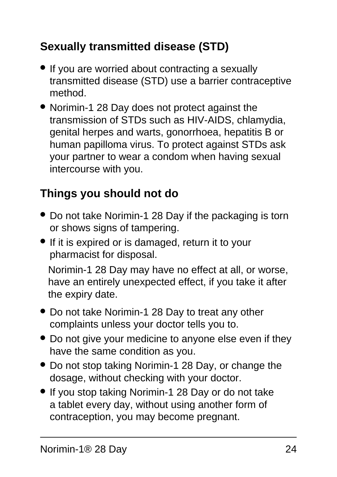# **Sexually transmitted disease (STD)**

- If you are worried about contracting a sexually transmitted disease (STD) use a barrier contraceptive method.
- Norimin-1 28 Day does not protect against the transmission of STDs such as HIV-AIDS, chlamydia, genital herpes and warts, gonorrhoea, hepatitis B or human papilloma virus. To protect against STDs ask your partner to wear a condom when having sexual intercourse with you.

# **Things you should not do**

- Do not take Norimin-1 28 Day if the packaging is torn or shows signs of tampering.
- If it is expired or is damaged, return it to your pharmacist for disposal.

Norimin-1 28 Day may have no effect at all, or worse, have an entirely unexpected effect, if you take it after the expiry date.

- Do not take Norimin-1 28 Day to treat any other complaints unless your doctor tells you to.
- Do not give your medicine to anyone else even if they have the same condition as you.
- Do not stop taking Norimin-1 28 Day, or change the dosage, without checking with your doctor.
- If you stop taking Norimin-1 28 Day or do not take a tablet every day, without using another form of contraception, you may become pregnant.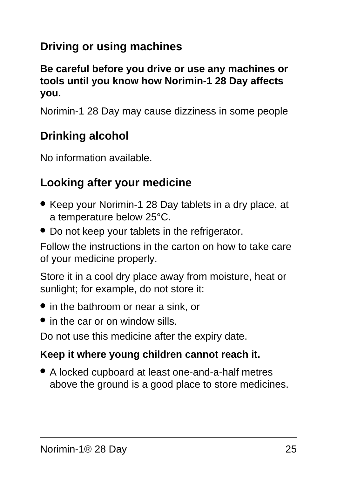# **Driving or using machines**

#### **Be careful before you drive or use any machines or tools until you know how Norimin-1 28 Day affects you.**

Norimin-1 28 Day may cause dizziness in some people

### **Drinking alcohol**

No information available.

#### **Looking after your medicine**

- Keep your Norimin-1 28 Day tablets in a dry place, at a temperature below 25°C.
- Do not keep your tablets in the refrigerator.

Follow the instructions in the carton on how to take care of your medicine properly.

Store it in a cool dry place away from moisture, heat or sunlight; for example, do not store it:

- in the bathroom or near a sink, or
- in the car or on window sills.

Do not use this medicine after the expiry date.

#### **Keep it where young children cannot reach it.**

● A locked cupboard at least one-and-a-half metres above the ground is a good place to store medicines.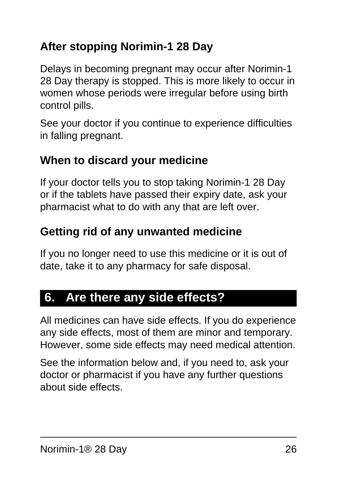# **After stopping Norimin-1 28 Day**

Delays in becoming pregnant may occur after Norimin-1 28 Day therapy is stopped. This is more likely to occur in women whose periods were irregular before using birth control pills.

See your doctor if you continue to experience difficulties in falling pregnant.

### **When to discard your medicine**

If your doctor tells you to stop taking Norimin-1 28 Day or if the tablets have passed their expiry date, ask your pharmacist what to do with any that are left over.

### **Getting rid of any unwanted medicine**

If you no longer need to use this medicine or it is out of date, take it to any pharmacy for safe disposal.

# <span id="page-25-0"></span>**6. Are there any side effects?**

All medicines can have side effects. If you do experience any side effects, most of them are minor and temporary. However, some side effects may need medical attention.

See the information below and, if you need to, ask your doctor or pharmacist if you have any further questions about side effects.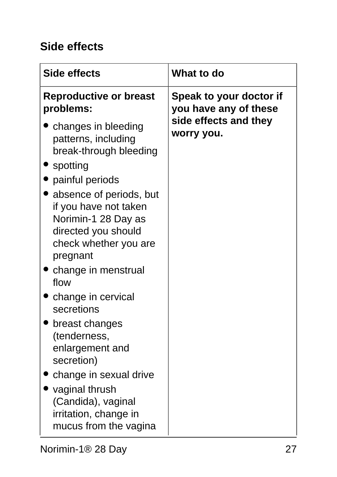### **Side effects**

| <b>Side effects</b>                                                                                                                 | What to do                                       |
|-------------------------------------------------------------------------------------------------------------------------------------|--------------------------------------------------|
| <b>Reproductive or breast</b><br>problems:                                                                                          | Speak to your doctor if<br>you have any of these |
| changes in bleeding<br>patterns, including<br>break-through bleeding<br>spotting                                                    | side effects and they<br>worry you.              |
| painful periods                                                                                                                     |                                                  |
| absence of periods, but<br>if you have not taken<br>Norimin-1 28 Day as<br>directed you should<br>check whether you are<br>pregnant |                                                  |
| change in menstrual<br>flow                                                                                                         |                                                  |
| change in cervical<br>secretions                                                                                                    |                                                  |
| breast changes<br>(tenderness,<br>enlargement and<br>secretion)                                                                     |                                                  |
| change in sexual drive<br>vaginal thrush<br>(Candida), vaginal<br>irritation, change in<br>mucus from the vagina                    |                                                  |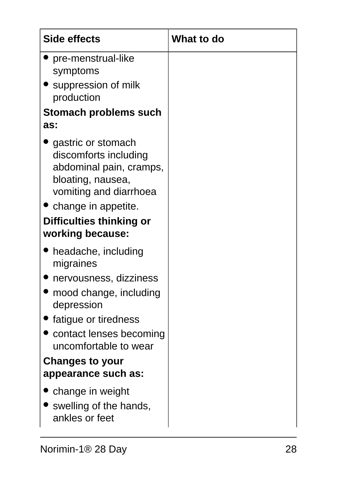| Side effects                                                                                                                                                                                   | What to do |
|------------------------------------------------------------------------------------------------------------------------------------------------------------------------------------------------|------------|
| pre-menstrual-like<br>symptoms                                                                                                                                                                 |            |
| • suppression of milk<br>production                                                                                                                                                            |            |
| Stomach problems such<br>as:                                                                                                                                                                   |            |
| gastric or stomach<br>discomforts including<br>abdominal pain, cramps,<br>bloating, nausea,<br>vomiting and diarrhoea<br>• change in appetite.<br>Difficulties thinking or<br>working because: |            |
| headache, including                                                                                                                                                                            |            |
| migraines<br>nervousness, dizziness                                                                                                                                                            |            |
| mood change, including<br>depression                                                                                                                                                           |            |
| fatigue or tiredness                                                                                                                                                                           |            |
| contact lenses becoming<br>uncomfortable to wear                                                                                                                                               |            |
| <b>Changes to your</b><br>appearance such as:                                                                                                                                                  |            |
| change in weight                                                                                                                                                                               |            |
| swelling of the hands,<br>ankles or feet                                                                                                                                                       |            |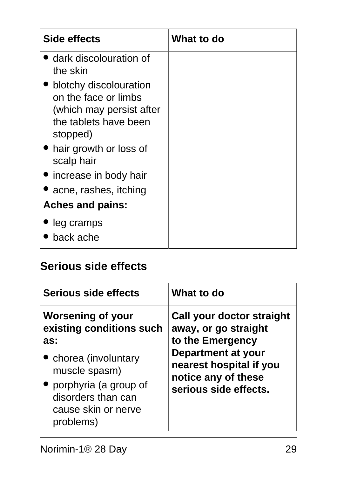| Side effects                                                                                                    | What to do |
|-----------------------------------------------------------------------------------------------------------------|------------|
| dark discolouration of<br>the skin                                                                              |            |
| blotchy discolouration<br>on the face or limbs<br>(which may persist after<br>the tablets have been<br>stopped) |            |
| • hair growth or loss of<br>scalp hair                                                                          |            |
| • increase in body hair                                                                                         |            |
| acne, rashes, itching                                                                                           |            |
| <b>Aches and pains:</b>                                                                                         |            |
| leg cramps<br>back ache                                                                                         |            |

### **Serious side effects**

| Serious side effects                                                                                                                                                                     | What to do                                                                                                                                                                    |
|------------------------------------------------------------------------------------------------------------------------------------------------------------------------------------------|-------------------------------------------------------------------------------------------------------------------------------------------------------------------------------|
| <b>Worsening of your</b><br>existing conditions such<br>as:<br>• chorea (involuntary<br>muscle spasm)<br>porphyria (a group of<br>disorders than can<br>cause skin or nerve<br>problems) | Call your doctor straight<br>away, or go straight<br>to the Emergency<br><b>Department at your</b><br>nearest hospital if you<br>notice any of these<br>serious side effects. |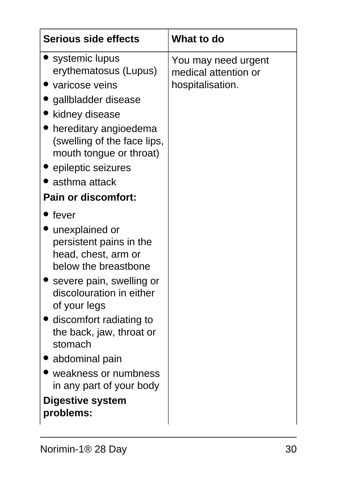| Serious side effects                                                                                                                                                                                                                                                                                                                                                  | <b>What to do</b>                                               |
|-----------------------------------------------------------------------------------------------------------------------------------------------------------------------------------------------------------------------------------------------------------------------------------------------------------------------------------------------------------------------|-----------------------------------------------------------------|
| $\bullet$ systemic lupus<br>erythematosus (Lupus)<br>varicose veins<br>gallbladder disease<br>kidney disease<br>• hereditary angioedema<br>(swelling of the face lips,<br>mouth tongue or throat)<br>• epileptic seizures<br>$\bullet$ asthma attack<br><b>Pain or discomfort:</b>                                                                                    | You may need urgent<br>medical attention or<br>hospitalisation. |
| fever<br>unexplained or<br>persistent pains in the<br>head, chest, arm or<br>below the breastbone<br>severe pain, swelling or<br>discolouration in either<br>of your legs<br>• discomfort radiating to<br>the back, jaw, throat or<br>stomach<br>$\bullet$ abdominal pain<br>weakness or numbness<br>in any part of your body<br><b>Digestive system</b><br>problems: |                                                                 |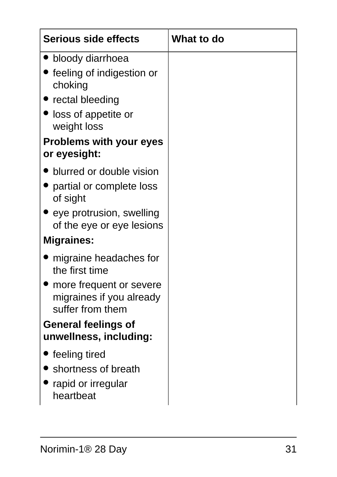| Serious side effects                                                                                                                                  | What to do |
|-------------------------------------------------------------------------------------------------------------------------------------------------------|------------|
| bloody diarrhoea<br>feeling of indigestion or<br>choking<br>• rectal bleeding<br>loss of appetite or<br>weight loss<br><b>Problems with your eyes</b> |            |
| or eyesight:                                                                                                                                          |            |
| blurred or double vision<br>• partial or complete loss<br>of sight<br>$\bullet$ eye protrusion, swelling<br>of the eye or eye lesions                 |            |
| <b>Migraines:</b>                                                                                                                                     |            |
| migraine headaches for<br>the first time<br>more frequent or severe<br>migraines if you already<br>suffer from them<br><b>General feelings of</b>     |            |
| unwellness, including:                                                                                                                                |            |
| feeling tired<br>shortness of breath<br>rapid or irregular<br>heartbeat                                                                               |            |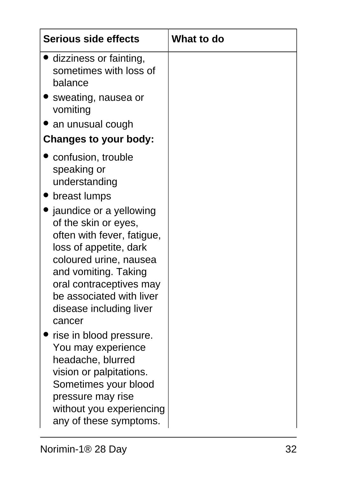| <b>Serious side effects</b>                                                                                                                                                                                                                                                                                                                                                                                                                                                                                                     | <b>What to do</b> |
|---------------------------------------------------------------------------------------------------------------------------------------------------------------------------------------------------------------------------------------------------------------------------------------------------------------------------------------------------------------------------------------------------------------------------------------------------------------------------------------------------------------------------------|-------------------|
| dizziness or fainting,<br>sometimes with loss of<br>balance                                                                                                                                                                                                                                                                                                                                                                                                                                                                     |                   |
| Sweating, nausea or<br>vomiting                                                                                                                                                                                                                                                                                                                                                                                                                                                                                                 |                   |
| an unusual cough                                                                                                                                                                                                                                                                                                                                                                                                                                                                                                                |                   |
| <b>Changes to your body:</b>                                                                                                                                                                                                                                                                                                                                                                                                                                                                                                    |                   |
| confusion, trouble<br>speaking or<br>understanding<br>breast lumps<br>jaundice or a yellowing<br>of the skin or eyes,<br>often with fever, fatigue,<br>loss of appetite, dark<br>coloured urine, nausea<br>and vomiting. Taking<br>oral contraceptives may<br>be associated with liver<br>disease including liver<br>cancer<br>rise in blood pressure.<br>You may experience<br>headache, blurred<br>vision or palpitations.<br>Sometimes your blood<br>pressure may rise<br>without you experiencing<br>any of these symptoms. |                   |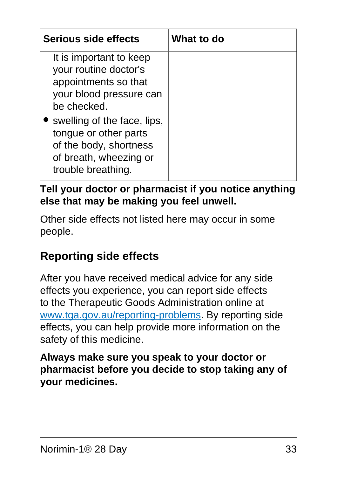| Serious side effects                                                                                                           | What to do |
|--------------------------------------------------------------------------------------------------------------------------------|------------|
| It is important to keep<br>your routine doctor's<br>appointments so that<br>your blood pressure can<br>be checked.             |            |
| swelling of the face, lips,<br>tongue or other parts<br>of the body, shortness<br>of breath, wheezing or<br>trouble breathing. |            |

**Tell your doctor or pharmacist if you notice anything else that may be making you feel unwell.**

Other side effects not listed here may occur in some people.

# **Reporting side effects**

After you have received medical advice for any side effects you experience, you can report side effects to the Therapeutic Goods Administration online at [www.tga.gov.au/reporting-problems.](http://www.tga.gov.au/reporting-problems) By reporting side effects, you can help provide more information on the safety of this medicine.

<span id="page-32-0"></span>**Always make sure you speak to your doctor or pharmacist before you decide to stop taking any of your medicines.**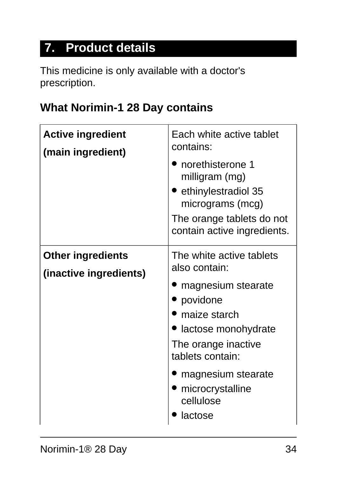# **7. Product details**

This medicine is only available with a doctor's prescription.

### **What Norimin-1 28 Day contains**

| <b>Active ingredient</b><br>(main ingredient)      | Each white active tablet<br>contains:<br>norethisterone 1<br>milligram (mg)<br>ethinylestradiol 35<br>micrograms (mcg)<br>The orange tablets do not<br>contain active ingredients.                                              |
|----------------------------------------------------|---------------------------------------------------------------------------------------------------------------------------------------------------------------------------------------------------------------------------------|
| <b>Other ingredients</b><br>(inactive ingredients) | The white active tablets<br>also contain:<br>magnesium stearate<br>povidone<br>maize starch<br>lactose monohydrate<br>The orange inactive<br>tablets contain:<br>magnesium stearate<br>microcrystalline<br>cellulose<br>lactose |